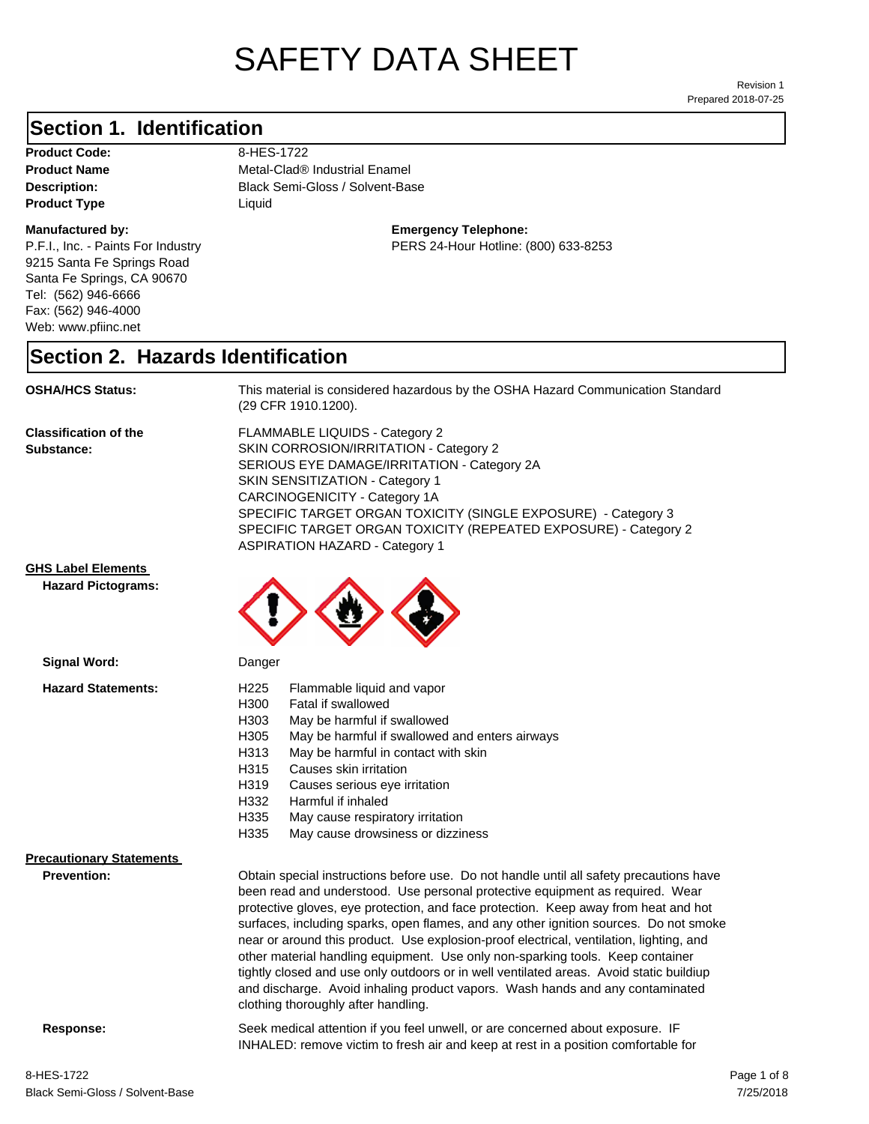# SAFETY DATA SHEET

Prepared 2018-07-25 Revision 1

#### **Section 1. Identification**

Product Code: 8-HES-1722 **Product Type** Liquid

#### **Manufactured by:**

P.F.I., Inc. - Paints For Industry 9215 Santa Fe Springs Road Santa Fe Springs, CA 90670 Tel: (562) 946-6666 Fax: (562) 946-4000 Web: www.pfiinc.net

**Description:** Black Semi-Gloss / Solvent-Base **Product Name** Metal-Clad® Industrial Enamel

**Emergency Telephone:**

PERS 24-Hour Hotline: (800) 633-8253

#### **Section 2. Hazards Identification**

**OSHA/HCS Status:** This material is considered hazardous by the OSHA Hazard Communication Standard (29 CFR 1910.1200).

**Classification of the Substance:**

FLAMMABLE LIQUIDS - Category 2 SKIN CORROSION/IRRITATION - Category 2 SERIOUS EYE DAMAGE/IRRITATION - Category 2A SKIN SENSITIZATION - Category 1 CARCINOGENICITY - Category 1A SPECIFIC TARGET ORGAN TOXICITY (SINGLE EXPOSURE) - Category 3 SPECIFIC TARGET ORGAN TOXICITY (REPEATED EXPOSURE) - Category 2 ASPIRATION HAZARD - Category 1

#### **GHS Label Elements**

**Signal Word:**

**Hazard Pictograms:**



| H300 | Fatal if swallowed                             |
|------|------------------------------------------------|
| H303 | May be harmful if swallowed                    |
| H305 | May be harmful if swallowed and enters airways |
| H313 | May be harmful in contact with skin            |
| H315 | Causes skin irritation                         |
| H319 | Causes serious eye irritation                  |
| H332 | Harmful if inhaled                             |
| H335 | May cause respiratory irritation               |
| H335 | May cause drowsiness or dizziness              |
|      |                                                |

#### **Precautionary Statements**

**Prevention:**

Obtain special instructions before use. Do not handle until all safety precautions have been read and understood. Use personal protective equipment as required. Wear protective gloves, eye protection, and face protection. Keep away from heat and hot surfaces, including sparks, open flames, and any other ignition sources. Do not smoke near or around this product. Use explosion-proof electrical, ventilation, lighting, and other material handling equipment. Use only non-sparking tools. Keep container tightly closed and use only outdoors or in well ventilated areas. Avoid static buildiup and discharge. Avoid inhaling product vapors. Wash hands and any contaminated clothing thoroughly after handling.

INHALED: remove victim to fresh air and keep at rest in a position comfortable for

**Response:** Seek medical attention if you feel unwell, or are concerned about exposure. IF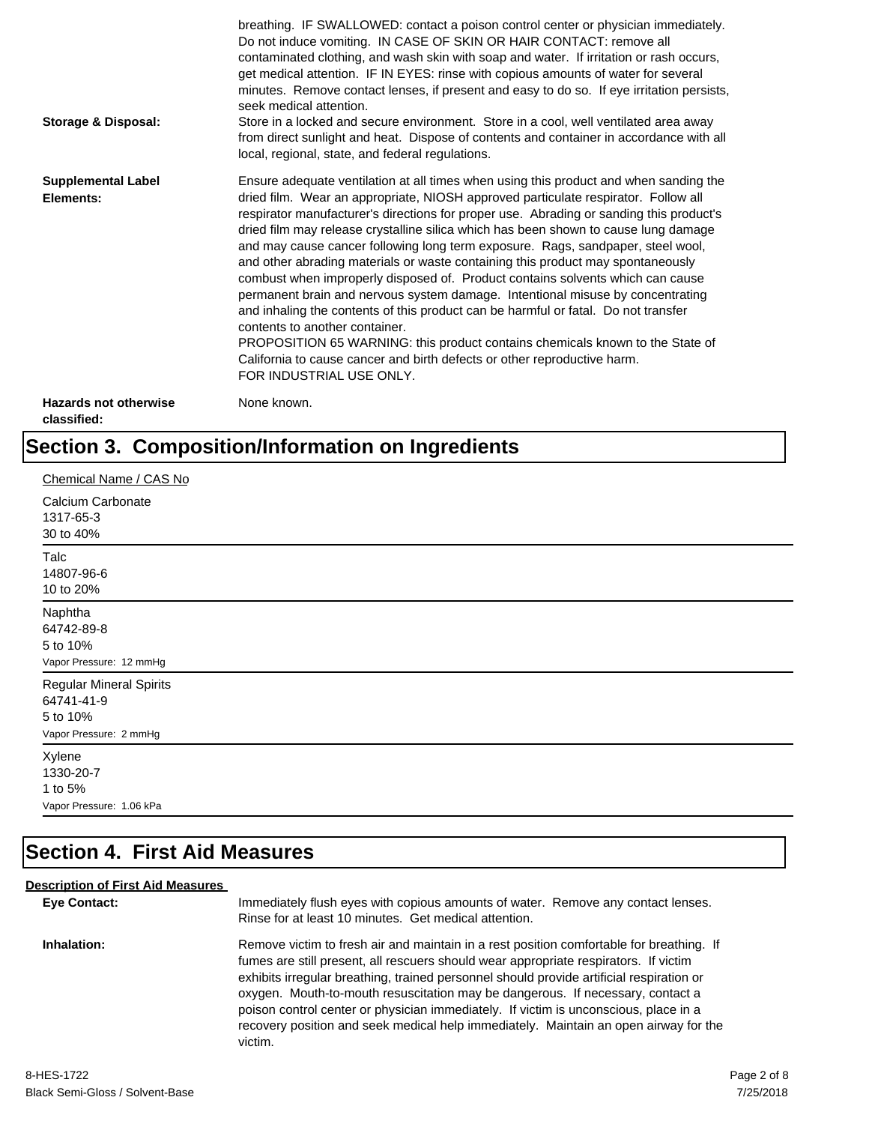| Storage & Disposal:                         | breathing. IF SWALLOWED: contact a poison control center or physician immediately.<br>Do not induce vomiting. IN CASE OF SKIN OR HAIR CONTACT: remove all<br>contaminated clothing, and wash skin with soap and water. If irritation or rash occurs,<br>get medical attention. IF IN EYES: rinse with copious amounts of water for several<br>minutes. Remove contact lenses, if present and easy to do so. If eye irritation persists,<br>seek medical attention.<br>Store in a locked and secure environment. Store in a cool, well ventilated area away<br>from direct sunlight and heat. Dispose of contents and container in accordance with all<br>local, regional, state, and federal regulations.                                                                                                                                                                                                                                                                                                                |
|---------------------------------------------|--------------------------------------------------------------------------------------------------------------------------------------------------------------------------------------------------------------------------------------------------------------------------------------------------------------------------------------------------------------------------------------------------------------------------------------------------------------------------------------------------------------------------------------------------------------------------------------------------------------------------------------------------------------------------------------------------------------------------------------------------------------------------------------------------------------------------------------------------------------------------------------------------------------------------------------------------------------------------------------------------------------------------|
| <b>Supplemental Label</b><br>Elements:      | Ensure adequate ventilation at all times when using this product and when sanding the<br>dried film. Wear an appropriate, NIOSH approved particulate respirator. Follow all<br>respirator manufacturer's directions for proper use. Abrading or sanding this product's<br>dried film may release crystalline silica which has been shown to cause lung damage<br>and may cause cancer following long term exposure. Rags, sandpaper, steel wool,<br>and other abrading materials or waste containing this product may spontaneously<br>combust when improperly disposed of. Product contains solvents which can cause<br>permanent brain and nervous system damage. Intentional misuse by concentrating<br>and inhaling the contents of this product can be harmful or fatal. Do not transfer<br>contents to another container.<br>PROPOSITION 65 WARNING: this product contains chemicals known to the State of<br>California to cause cancer and birth defects or other reproductive harm.<br>FOR INDUSTRIAL USE ONLY. |
| <b>Hazards not otherwise</b><br>classified: | None known.                                                                                                                                                                                                                                                                                                                                                                                                                                                                                                                                                                                                                                                                                                                                                                                                                                                                                                                                                                                                              |

## **Section 3. Composition/Information on Ingredients**

| Chemical Name / CAS No                                                             |
|------------------------------------------------------------------------------------|
| Calcium Carbonate<br>1317-65-3<br>30 to 40%                                        |
| Talc<br>14807-96-6<br>10 to 20%                                                    |
| Naphtha<br>64742-89-8<br>5 to 10%<br>Vapor Pressure: 12 mmHg                       |
| <b>Regular Mineral Spirits</b><br>64741-41-9<br>5 to 10%<br>Vapor Pressure: 2 mmHg |
| Xylene<br>1330-20-7<br>1 to 5%<br>Vapor Pressure: 1.06 kPa                         |

## **Section 4. First Aid Measures**

#### **Description of First Aid Measures**

| <b>Eve Contact:</b> | Immediately flush eyes with copious amounts of water. Remove any contact lenses.<br>Rinse for at least 10 minutes. Get medical attention.                                                                                                                                                                                                                                                                                                                                                                                                                 |
|---------------------|-----------------------------------------------------------------------------------------------------------------------------------------------------------------------------------------------------------------------------------------------------------------------------------------------------------------------------------------------------------------------------------------------------------------------------------------------------------------------------------------------------------------------------------------------------------|
| Inhalation:         | Remove victim to fresh air and maintain in a rest position comfortable for breathing. If<br>fumes are still present, all rescuers should wear appropriate respirators. If victim<br>exhibits irregular breathing, trained personnel should provide artificial respiration or<br>oxygen. Mouth-to-mouth resuscitation may be dangerous. If necessary, contact a<br>poison control center or physician immediately. If victim is unconscious, place in a<br>recovery position and seek medical help immediately. Maintain an open airway for the<br>victim. |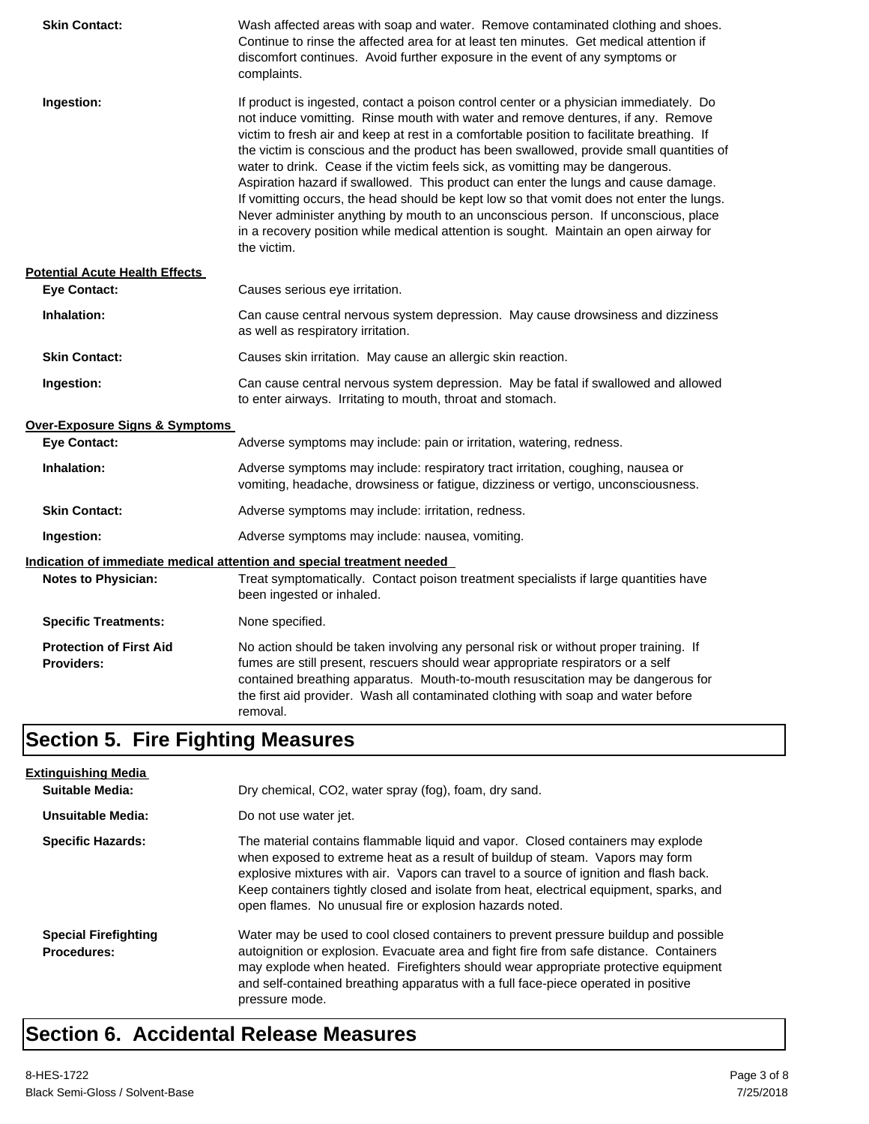| <b>Skin Contact:</b>                                | Wash affected areas with soap and water. Remove contaminated clothing and shoes.<br>Continue to rinse the affected area for at least ten minutes. Get medical attention if<br>discomfort continues. Avoid further exposure in the event of any symptoms or<br>complaints.                                                                                                                                                                                                                                                                                                                                                                                                                                                                                                                                                             |
|-----------------------------------------------------|---------------------------------------------------------------------------------------------------------------------------------------------------------------------------------------------------------------------------------------------------------------------------------------------------------------------------------------------------------------------------------------------------------------------------------------------------------------------------------------------------------------------------------------------------------------------------------------------------------------------------------------------------------------------------------------------------------------------------------------------------------------------------------------------------------------------------------------|
| Ingestion:                                          | If product is ingested, contact a poison control center or a physician immediately. Do<br>not induce vomitting. Rinse mouth with water and remove dentures, if any. Remove<br>victim to fresh air and keep at rest in a comfortable position to facilitate breathing. If<br>the victim is conscious and the product has been swallowed, provide small quantities of<br>water to drink. Cease if the victim feels sick, as vomitting may be dangerous.<br>Aspiration hazard if swallowed. This product can enter the lungs and cause damage.<br>If vomitting occurs, the head should be kept low so that vomit does not enter the lungs.<br>Never administer anything by mouth to an unconscious person. If unconscious, place<br>in a recovery position while medical attention is sought. Maintain an open airway for<br>the victim. |
| <b>Potential Acute Health Effects</b>               |                                                                                                                                                                                                                                                                                                                                                                                                                                                                                                                                                                                                                                                                                                                                                                                                                                       |
| <b>Eye Contact:</b>                                 | Causes serious eye irritation.                                                                                                                                                                                                                                                                                                                                                                                                                                                                                                                                                                                                                                                                                                                                                                                                        |
| Inhalation:                                         | Can cause central nervous system depression. May cause drowsiness and dizziness<br>as well as respiratory irritation.                                                                                                                                                                                                                                                                                                                                                                                                                                                                                                                                                                                                                                                                                                                 |
| <b>Skin Contact:</b>                                | Causes skin irritation. May cause an allergic skin reaction.                                                                                                                                                                                                                                                                                                                                                                                                                                                                                                                                                                                                                                                                                                                                                                          |
| Ingestion:                                          | Can cause central nervous system depression. May be fatal if swallowed and allowed<br>to enter airways. Irritating to mouth, throat and stomach.                                                                                                                                                                                                                                                                                                                                                                                                                                                                                                                                                                                                                                                                                      |
| <b>Over-Exposure Signs &amp; Symptoms</b>           |                                                                                                                                                                                                                                                                                                                                                                                                                                                                                                                                                                                                                                                                                                                                                                                                                                       |
| <b>Eye Contact:</b>                                 | Adverse symptoms may include: pain or irritation, watering, redness.                                                                                                                                                                                                                                                                                                                                                                                                                                                                                                                                                                                                                                                                                                                                                                  |
| Inhalation:                                         | Adverse symptoms may include: respiratory tract irritation, coughing, nausea or<br>vomiting, headache, drowsiness or fatigue, dizziness or vertigo, unconsciousness.                                                                                                                                                                                                                                                                                                                                                                                                                                                                                                                                                                                                                                                                  |
| <b>Skin Contact:</b>                                | Adverse symptoms may include: irritation, redness.                                                                                                                                                                                                                                                                                                                                                                                                                                                                                                                                                                                                                                                                                                                                                                                    |
| Ingestion:                                          | Adverse symptoms may include: nausea, vomiting.                                                                                                                                                                                                                                                                                                                                                                                                                                                                                                                                                                                                                                                                                                                                                                                       |
|                                                     | Indication of immediate medical attention and special treatment needed                                                                                                                                                                                                                                                                                                                                                                                                                                                                                                                                                                                                                                                                                                                                                                |
| <b>Notes to Physician:</b>                          | Treat symptomatically. Contact poison treatment specialists if large quantities have<br>been ingested or inhaled.                                                                                                                                                                                                                                                                                                                                                                                                                                                                                                                                                                                                                                                                                                                     |
| <b>Specific Treatments:</b>                         | None specified.                                                                                                                                                                                                                                                                                                                                                                                                                                                                                                                                                                                                                                                                                                                                                                                                                       |
| <b>Protection of First Aid</b><br><b>Providers:</b> | No action should be taken involving any personal risk or without proper training. If<br>fumes are still present, rescuers should wear appropriate respirators or a self<br>contained breathing apparatus. Mouth-to-mouth resuscitation may be dangerous for<br>the first aid provider. Wash all contaminated clothing with soap and water before<br>removal.                                                                                                                                                                                                                                                                                                                                                                                                                                                                          |

## **Section 5. Fire Fighting Measures**

| <b>Extinguishing Media</b>                        |                                                                                                                                                                                                                                                                                                                                                                                                                   |
|---------------------------------------------------|-------------------------------------------------------------------------------------------------------------------------------------------------------------------------------------------------------------------------------------------------------------------------------------------------------------------------------------------------------------------------------------------------------------------|
| Suitable Media:                                   | Dry chemical, CO2, water spray (fog), foam, dry sand.                                                                                                                                                                                                                                                                                                                                                             |
| Unsuitable Media:                                 | Do not use water jet.                                                                                                                                                                                                                                                                                                                                                                                             |
| <b>Specific Hazards:</b>                          | The material contains flammable liquid and vapor. Closed containers may explode<br>when exposed to extreme heat as a result of buildup of steam. Vapors may form<br>explosive mixtures with air. Vapors can travel to a source of ignition and flash back.<br>Keep containers tightly closed and isolate from heat, electrical equipment, sparks, and<br>open flames. No unusual fire or explosion hazards noted. |
| <b>Special Firefighting</b><br><b>Procedures:</b> | Water may be used to cool closed containers to prevent pressure buildup and possible<br>autoignition or explosion. Evacuate area and fight fire from safe distance. Containers<br>may explode when heated. Firefighters should wear appropriate protective equipment<br>and self-contained breathing apparatus with a full face-piece operated in positive<br>pressure mode.                                      |

## **Section 6. Accidental Release Measures**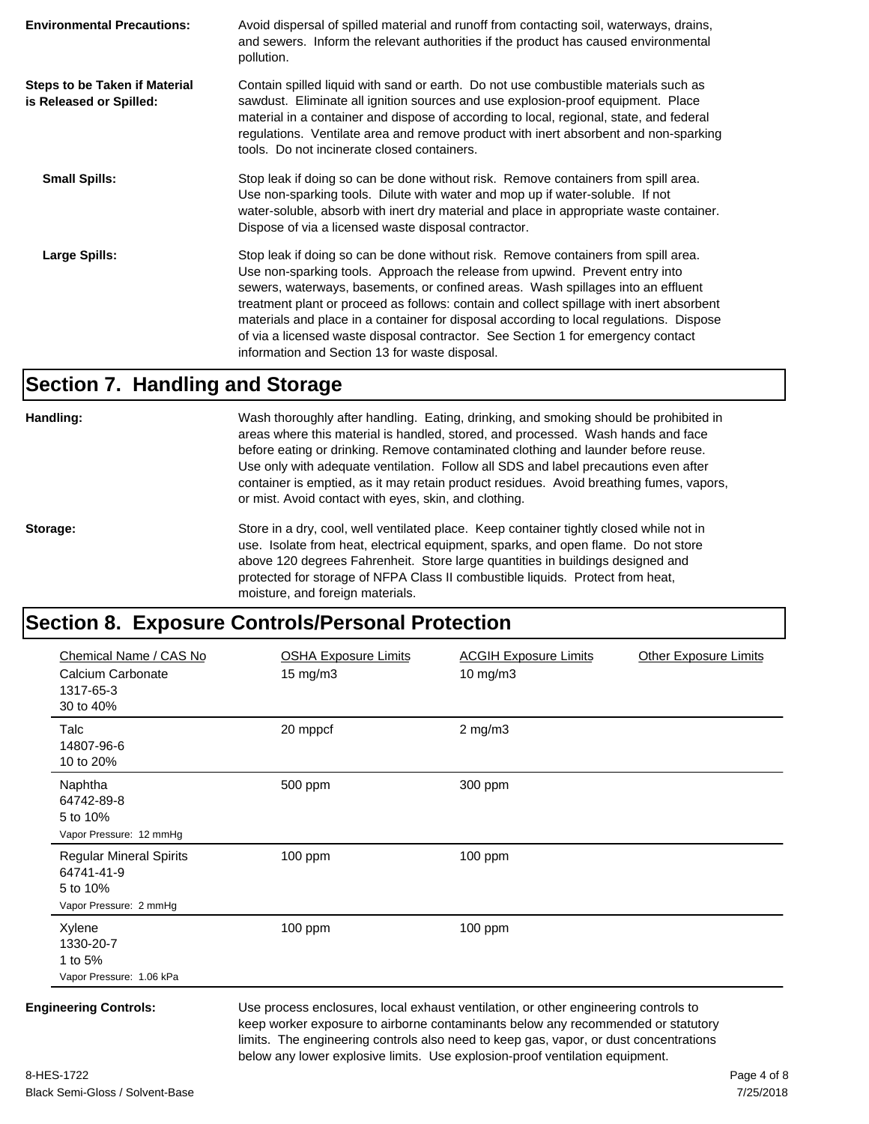| <b>Environmental Precautions:</b>                               | Avoid dispersal of spilled material and runoff from contacting soil, waterways, drains,<br>and sewers. Inform the relevant authorities if the product has caused environmental<br>pollution.                                                                                                                                                                                                                                                                                                                                                                                        |
|-----------------------------------------------------------------|-------------------------------------------------------------------------------------------------------------------------------------------------------------------------------------------------------------------------------------------------------------------------------------------------------------------------------------------------------------------------------------------------------------------------------------------------------------------------------------------------------------------------------------------------------------------------------------|
| <b>Steps to be Taken if Material</b><br>is Released or Spilled: | Contain spilled liquid with sand or earth. Do not use combustible materials such as<br>sawdust. Eliminate all ignition sources and use explosion-proof equipment. Place<br>material in a container and dispose of according to local, regional, state, and federal<br>regulations. Ventilate area and remove product with inert absorbent and non-sparking<br>tools. Do not incinerate closed containers.                                                                                                                                                                           |
| <b>Small Spills:</b>                                            | Stop leak if doing so can be done without risk. Remove containers from spill area.<br>Use non-sparking tools. Dilute with water and mop up if water-soluble. If not<br>water-soluble, absorb with inert dry material and place in appropriate waste container.<br>Dispose of via a licensed waste disposal contractor.                                                                                                                                                                                                                                                              |
| Large Spills:                                                   | Stop leak if doing so can be done without risk. Remove containers from spill area.<br>Use non-sparking tools. Approach the release from upwind. Prevent entry into<br>sewers, waterways, basements, or confined areas. Wash spillages into an effluent<br>treatment plant or proceed as follows: contain and collect spillage with inert absorbent<br>materials and place in a container for disposal according to local regulations. Dispose<br>of via a licensed waste disposal contractor. See Section 1 for emergency contact<br>information and Section 13 for waste disposal. |

#### **Section 7. Handling and Storage**

**Handling:** Wash thoroughly after handling. Eating, drinking, and smoking should be prohibited in areas where this material is handled, stored, and processed. Wash hands and face before eating or drinking. Remove contaminated clothing and launder before reuse. Use only with adequate ventilation. Follow all SDS and label precautions even after container is emptied, as it may retain product residues. Avoid breathing fumes, vapors, or mist. Avoid contact with eyes, skin, and clothing.

Storage: Store in a dry, cool, well ventilated place. Keep container tightly closed while not in use. Isolate from heat, electrical equipment, sparks, and open flame. Do not store above 120 degrees Fahrenheit. Store large quantities in buildings designed and protected for storage of NFPA Class II combustible liquids. Protect from heat, moisture, and foreign materials.

#### **Section 8. Exposure Controls/Personal Protection**

| Chemical Name / CAS No<br>Calcium Carbonate<br>1317-65-3<br>30 to 40%              | <b>OSHA Exposure Limits</b><br>$15 \text{ mg/m}$                                    | <b>ACGIH Exposure Limits</b><br>10 mg/m3 | <b>Other Exposure Limits</b> |
|------------------------------------------------------------------------------------|-------------------------------------------------------------------------------------|------------------------------------------|------------------------------|
| Talc<br>14807-96-6<br>10 to 20%                                                    | 20 mppcf                                                                            | $2$ mg/m $3$                             |                              |
| Naphtha<br>64742-89-8<br>5 to 10%<br>Vapor Pressure: 12 mmHg                       | 500 ppm                                                                             | 300 ppm                                  |                              |
| <b>Regular Mineral Spirits</b><br>64741-41-9<br>5 to 10%<br>Vapor Pressure: 2 mmHg | 100 ppm                                                                             | 100 ppm                                  |                              |
| Xylene<br>1330-20-7<br>1 to 5%<br>Vapor Pressure: 1.06 kPa                         | 100 ppm                                                                             | 100 ppm                                  |                              |
| <b>Engineering Controls:</b>                                                       | Use process enclosures, local exhaust ventilation, or other engineering controls to |                                          |                              |

keep worker exposure to airborne contaminants below any recommended or statutory limits. The engineering controls also need to keep gas, vapor, or dust concentrations below any lower explosive limits. Use explosion-proof ventilation equipment.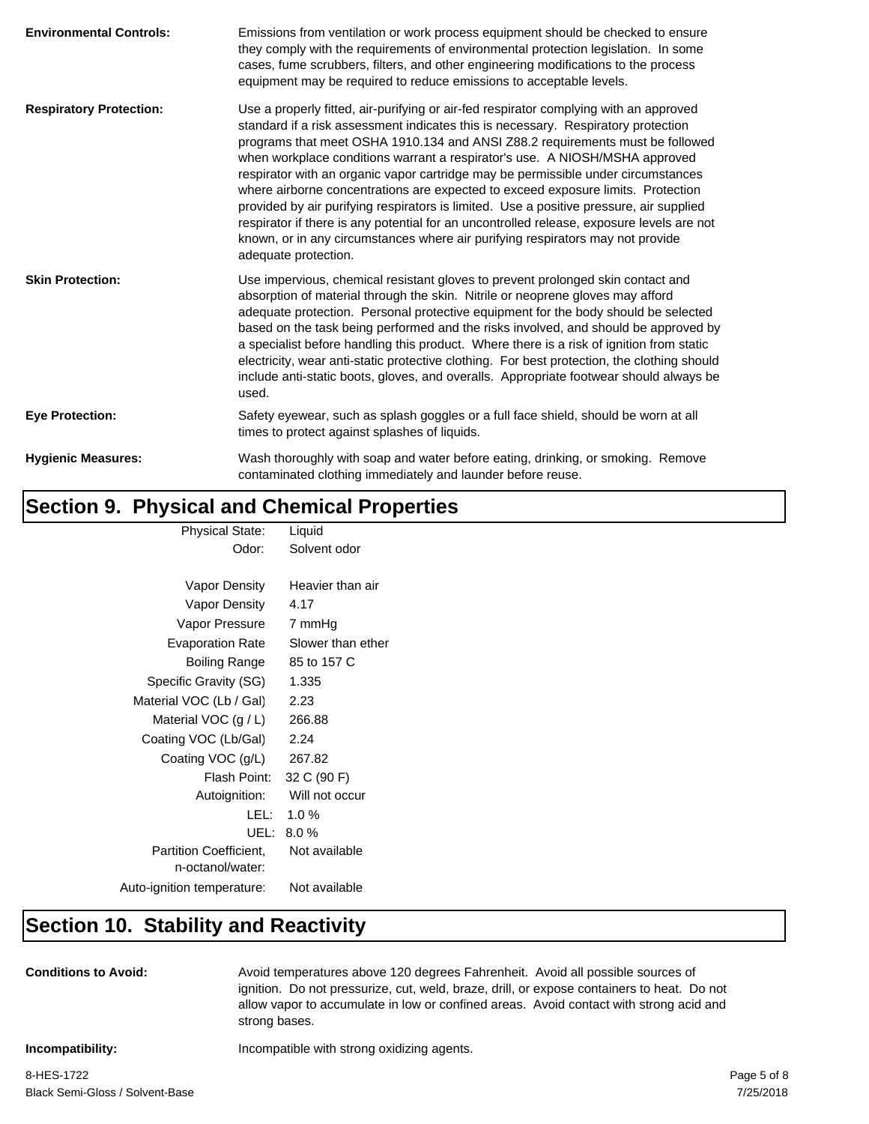| <b>Environmental Controls:</b> | Emissions from ventilation or work process equipment should be checked to ensure<br>they comply with the requirements of environmental protection legislation. In some<br>cases, fume scrubbers, filters, and other engineering modifications to the process<br>equipment may be required to reduce emissions to acceptable levels.                                                                                                                                                                                                                                                                                                                                                                                                                                                                                   |
|--------------------------------|-----------------------------------------------------------------------------------------------------------------------------------------------------------------------------------------------------------------------------------------------------------------------------------------------------------------------------------------------------------------------------------------------------------------------------------------------------------------------------------------------------------------------------------------------------------------------------------------------------------------------------------------------------------------------------------------------------------------------------------------------------------------------------------------------------------------------|
| <b>Respiratory Protection:</b> | Use a properly fitted, air-purifying or air-fed respirator complying with an approved<br>standard if a risk assessment indicates this is necessary. Respiratory protection<br>programs that meet OSHA 1910.134 and ANSI Z88.2 requirements must be followed<br>when workplace conditions warrant a respirator's use. A NIOSH/MSHA approved<br>respirator with an organic vapor cartridge may be permissible under circumstances<br>where airborne concentrations are expected to exceed exposure limits. Protection<br>provided by air purifying respirators is limited. Use a positive pressure, air supplied<br>respirator if there is any potential for an uncontrolled release, exposure levels are not<br>known, or in any circumstances where air purifying respirators may not provide<br>adequate protection. |
| <b>Skin Protection:</b>        | Use impervious, chemical resistant gloves to prevent prolonged skin contact and<br>absorption of material through the skin. Nitrile or neoprene gloves may afford<br>adequate protection. Personal protective equipment for the body should be selected<br>based on the task being performed and the risks involved, and should be approved by<br>a specialist before handling this product. Where there is a risk of ignition from static<br>electricity, wear anti-static protective clothing. For best protection, the clothing should<br>include anti-static boots, gloves, and overalls. Appropriate footwear should always be<br>used.                                                                                                                                                                          |
| <b>Eye Protection:</b>         | Safety eyewear, such as splash goggles or a full face shield, should be worn at all<br>times to protect against splashes of liquids.                                                                                                                                                                                                                                                                                                                                                                                                                                                                                                                                                                                                                                                                                  |
| <b>Hygienic Measures:</b>      | Wash thoroughly with soap and water before eating, drinking, or smoking. Remove<br>contaminated clothing immediately and launder before reuse.                                                                                                                                                                                                                                                                                                                                                                                                                                                                                                                                                                                                                                                                        |

### **Section 9. Physical and Chemical Properties**

| <b>Physical State:</b>        | Liquid            |
|-------------------------------|-------------------|
| Odor:                         | Solvent odor      |
|                               |                   |
| Vapor Density                 | Heavier than air  |
| Vapor Density                 | 4.17              |
| Vapor Pressure                | 7 mmHg            |
| <b>Evaporation Rate</b>       | Slower than ether |
| Boiling Range                 | 85 to 157 C       |
| Specific Gravity (SG)         | 1.335             |
| Material VOC (Lb / Gal)       | 2.23              |
| Material VOC $(g / L)$        | 266.88            |
| Coating VOC (Lb/Gal)          | 2.24              |
| Coating VOC (g/L)             | 267.82            |
| Flash Point:                  | 32 C (90 F)       |
| Autoignition:                 | Will not occur    |
| LEL: I                        | 1.0%              |
| UEL: I                        | 8.0%              |
| <b>Partition Coefficient.</b> | Not available     |
| n-octanol/water:              |                   |
| Auto-ignition temperature:    | Not available     |
|                               |                   |

### **Section 10. Stability and Reactivity**

**Conditions to Avoid:** Avoid temperatures above 120 degrees Fahrenheit. Avoid all possible sources of ignition. Do not pressurize, cut, weld, braze, drill, or expose containers to heat. Do not allow vapor to accumulate in low or confined areas. Avoid contact with strong acid and strong bases.

**Incompatibility:** Incompatible with strong oxidizing agents.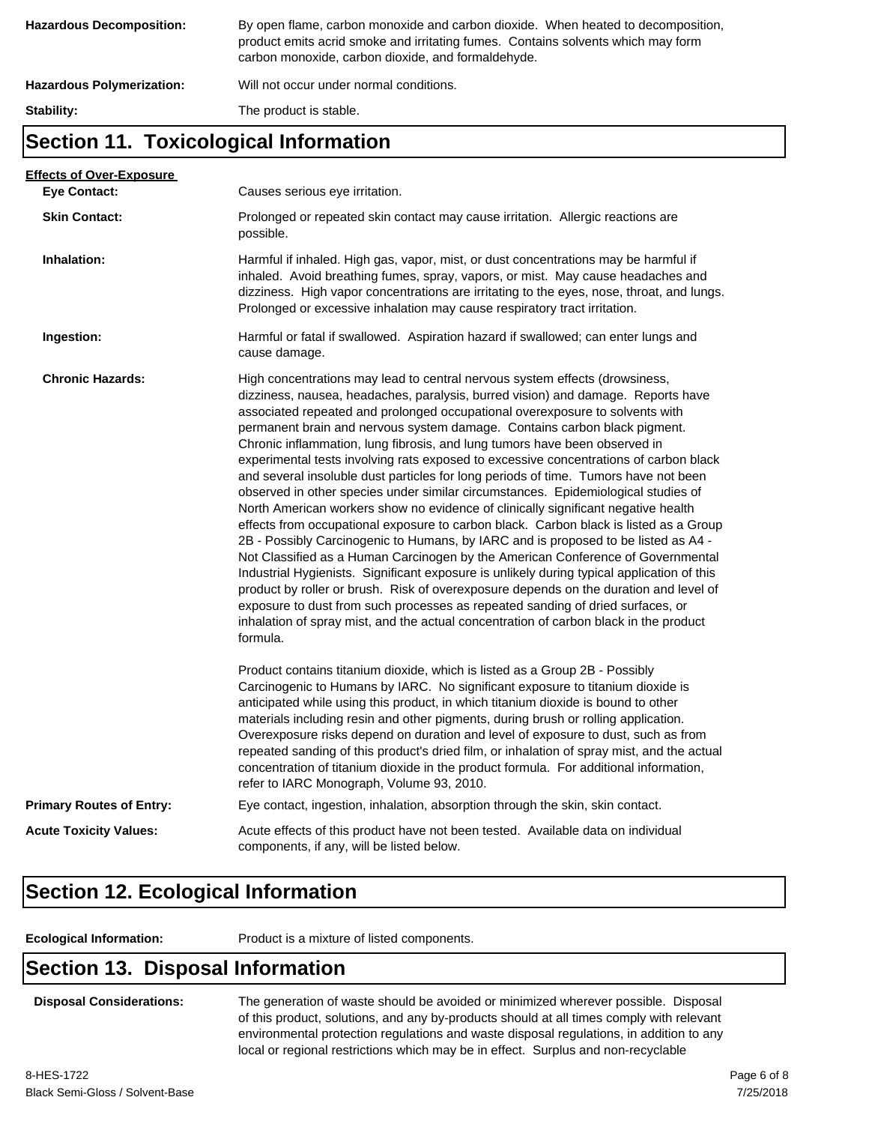| <b>Hazardous Decomposition:</b>  | By open flame, carbon monoxide and carbon dioxide. When heated to decomposition,<br>product emits acrid smoke and irritating fumes. Contains solvents which may form<br>carbon monoxide, carbon dioxide, and formaldehyde. |
|----------------------------------|----------------------------------------------------------------------------------------------------------------------------------------------------------------------------------------------------------------------------|
| <b>Hazardous Polymerization:</b> | Will not occur under normal conditions.                                                                                                                                                                                    |
| Stability:                       | The product is stable.                                                                                                                                                                                                     |

#### **Section 11. Toxicological Information**

| <b>Effects of Over-Exposure</b> |                                                                                                                                                                                                                                                                                                                                                                                                                                                                                                                                                                                                                                                                                                                                                                                                                                                                                                                                                                                                                                                                                                                                                                                                                                                                                                                                                                                                                      |
|---------------------------------|----------------------------------------------------------------------------------------------------------------------------------------------------------------------------------------------------------------------------------------------------------------------------------------------------------------------------------------------------------------------------------------------------------------------------------------------------------------------------------------------------------------------------------------------------------------------------------------------------------------------------------------------------------------------------------------------------------------------------------------------------------------------------------------------------------------------------------------------------------------------------------------------------------------------------------------------------------------------------------------------------------------------------------------------------------------------------------------------------------------------------------------------------------------------------------------------------------------------------------------------------------------------------------------------------------------------------------------------------------------------------------------------------------------------|
| <b>Eye Contact:</b>             | Causes serious eye irritation.                                                                                                                                                                                                                                                                                                                                                                                                                                                                                                                                                                                                                                                                                                                                                                                                                                                                                                                                                                                                                                                                                                                                                                                                                                                                                                                                                                                       |
| <b>Skin Contact:</b>            | Prolonged or repeated skin contact may cause irritation. Allergic reactions are<br>possible.                                                                                                                                                                                                                                                                                                                                                                                                                                                                                                                                                                                                                                                                                                                                                                                                                                                                                                                                                                                                                                                                                                                                                                                                                                                                                                                         |
| Inhalation:                     | Harmful if inhaled. High gas, vapor, mist, or dust concentrations may be harmful if<br>inhaled. Avoid breathing fumes, spray, vapors, or mist. May cause headaches and<br>dizziness. High vapor concentrations are irritating to the eyes, nose, throat, and lungs.<br>Prolonged or excessive inhalation may cause respiratory tract irritation.                                                                                                                                                                                                                                                                                                                                                                                                                                                                                                                                                                                                                                                                                                                                                                                                                                                                                                                                                                                                                                                                     |
| Ingestion:                      | Harmful or fatal if swallowed. Aspiration hazard if swallowed; can enter lungs and<br>cause damage.                                                                                                                                                                                                                                                                                                                                                                                                                                                                                                                                                                                                                                                                                                                                                                                                                                                                                                                                                                                                                                                                                                                                                                                                                                                                                                                  |
| <b>Chronic Hazards:</b>         | High concentrations may lead to central nervous system effects (drowsiness,<br>dizziness, nausea, headaches, paralysis, burred vision) and damage. Reports have<br>associated repeated and prolonged occupational overexposure to solvents with<br>permanent brain and nervous system damage. Contains carbon black pigment.<br>Chronic inflammation, lung fibrosis, and lung tumors have been observed in<br>experimental tests involving rats exposed to excessive concentrations of carbon black<br>and several insoluble dust particles for long periods of time. Tumors have not been<br>observed in other species under similar circumstances. Epidemiological studies of<br>North American workers show no evidence of clinically significant negative health<br>effects from occupational exposure to carbon black. Carbon black is listed as a Group<br>2B - Possibly Carcinogenic to Humans, by IARC and is proposed to be listed as A4 -<br>Not Classified as a Human Carcinogen by the American Conference of Governmental<br>Industrial Hygienists. Significant exposure is unlikely during typical application of this<br>product by roller or brush. Risk of overexposure depends on the duration and level of<br>exposure to dust from such processes as repeated sanding of dried surfaces, or<br>inhalation of spray mist, and the actual concentration of carbon black in the product<br>formula. |
|                                 | Product contains titanium dioxide, which is listed as a Group 2B - Possibly<br>Carcinogenic to Humans by IARC. No significant exposure to titanium dioxide is<br>anticipated while using this product, in which titanium dioxide is bound to other<br>materials including resin and other pigments, during brush or rolling application.<br>Overexposure risks depend on duration and level of exposure to dust, such as from<br>repeated sanding of this product's dried film, or inhalation of spray mist, and the actual<br>concentration of titanium dioxide in the product formula. For additional information,<br>refer to IARC Monograph, Volume 93, 2010.                                                                                                                                                                                                                                                                                                                                                                                                                                                                                                                                                                                                                                                                                                                                                    |
| <b>Primary Routes of Entry:</b> | Eye contact, ingestion, inhalation, absorption through the skin, skin contact.                                                                                                                                                                                                                                                                                                                                                                                                                                                                                                                                                                                                                                                                                                                                                                                                                                                                                                                                                                                                                                                                                                                                                                                                                                                                                                                                       |
| <b>Acute Toxicity Values:</b>   | Acute effects of this product have not been tested. Available data on individual<br>components, if any, will be listed below.                                                                                                                                                                                                                                                                                                                                                                                                                                                                                                                                                                                                                                                                                                                                                                                                                                                                                                                                                                                                                                                                                                                                                                                                                                                                                        |
|                                 |                                                                                                                                                                                                                                                                                                                                                                                                                                                                                                                                                                                                                                                                                                                                                                                                                                                                                                                                                                                                                                                                                                                                                                                                                                                                                                                                                                                                                      |

### **Section 12. Ecological Information**

**Ecological Information:** Product is a mixture of listed components.

#### **Section 13. Disposal Information**

**Disposal Considerations:** The generation of waste should be avoided or minimized wherever possible. Disposal of this product, solutions, and any by-products should at all times comply with relevant environmental protection regulations and waste disposal regulations, in addition to any local or regional restrictions which may be in effect. Surplus and non-recyclable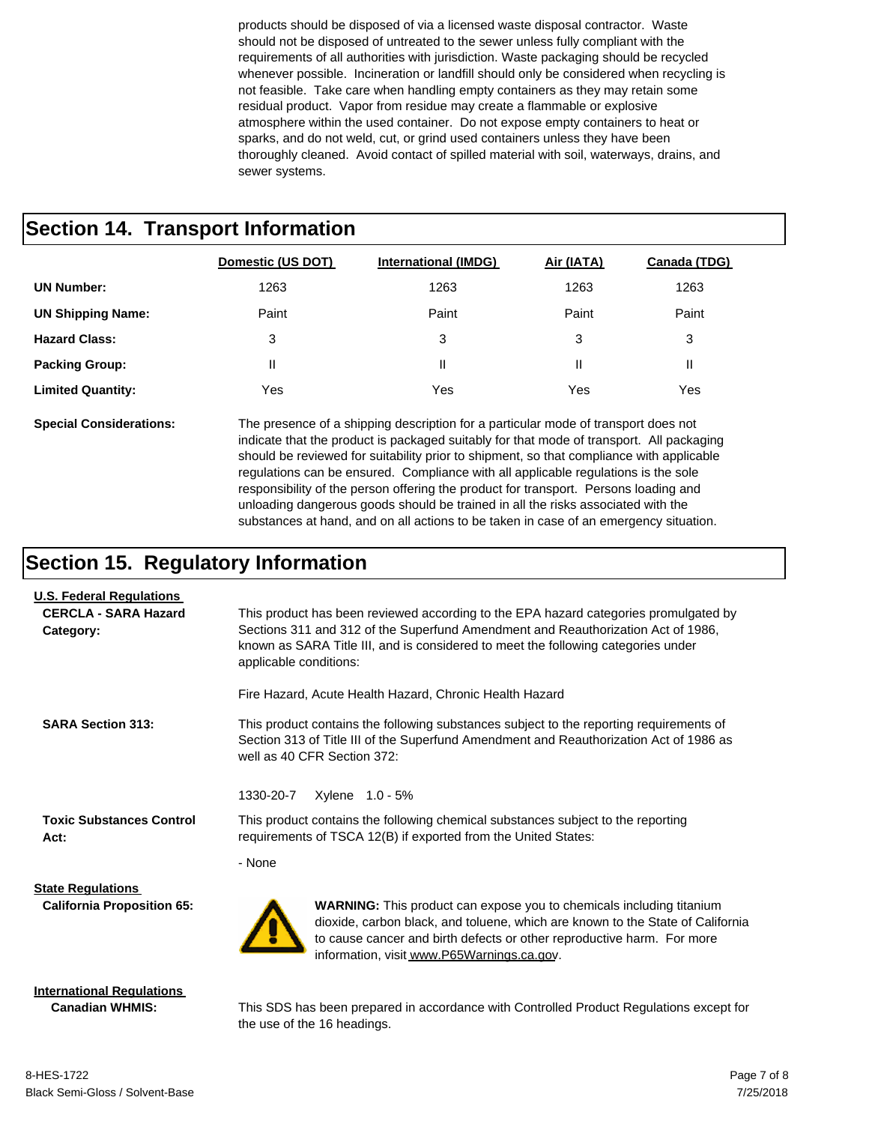products should be disposed of via a licensed waste disposal contractor. Waste should not be disposed of untreated to the sewer unless fully compliant with the requirements of all authorities with jurisdiction. Waste packaging should be recycled whenever possible. Incineration or landfill should only be considered when recycling is not feasible. Take care when handling empty containers as they may retain some residual product. Vapor from residue may create a flammable or explosive atmosphere within the used container. Do not expose empty containers to heat or sparks, and do not weld, cut, or grind used containers unless they have been thoroughly cleaned. Avoid contact of spilled material with soil, waterways, drains, and sewer systems.

#### **Section 14. Transport Information**

|                          | Domestic (US DOT) | <b>International (IMDG)</b> | Air (IATA) | Canada (TDG) |
|--------------------------|-------------------|-----------------------------|------------|--------------|
| <b>UN Number:</b>        | 1263              | 1263                        | 1263       | 1263         |
| <b>UN Shipping Name:</b> | Paint             | Paint                       | Paint      | Paint        |
| <b>Hazard Class:</b>     | 3                 | 3                           | 3          | 3            |
| <b>Packing Group:</b>    | Ш                 |                             | Ш          | Ш            |
| <b>Limited Quantity:</b> | Yes               | Yes                         | Yes        | Yes          |

**Special Considerations:** The presence of a shipping description for a particular mode of transport does not indicate that the product is packaged suitably for that mode of transport. All packaging should be reviewed for suitability prior to shipment, so that compliance with applicable regulations can be ensured. Compliance with all applicable regulations is the sole responsibility of the person offering the product for transport. Persons loading and unloading dangerous goods should be trained in all the risks associated with the substances at hand, and on all actions to be taken in case of an emergency situation.

#### **Section 15. Regulatory Information**

| <b>U.S. Federal Regulations</b>                            |                                                                                                                                                                                                                                                                                         |  |  |  |  |
|------------------------------------------------------------|-----------------------------------------------------------------------------------------------------------------------------------------------------------------------------------------------------------------------------------------------------------------------------------------|--|--|--|--|
| <b>CERCLA - SARA Hazard</b><br>Category:                   | This product has been reviewed according to the EPA hazard categories promulgated by<br>Sections 311 and 312 of the Superfund Amendment and Reauthorization Act of 1986,<br>known as SARA Title III, and is considered to meet the following categories under<br>applicable conditions: |  |  |  |  |
|                                                            | Fire Hazard, Acute Health Hazard, Chronic Health Hazard                                                                                                                                                                                                                                 |  |  |  |  |
| <b>SARA Section 313:</b>                                   | This product contains the following substances subject to the reporting requirements of<br>Section 313 of Title III of the Superfund Amendment and Reauthorization Act of 1986 as<br>well as 40 CFR Section 372:                                                                        |  |  |  |  |
|                                                            | 1330-20-7<br>Xylene 1.0 - 5%                                                                                                                                                                                                                                                            |  |  |  |  |
| <b>Toxic Substances Control</b><br>Act:                    | This product contains the following chemical substances subject to the reporting<br>requirements of TSCA 12(B) if exported from the United States:                                                                                                                                      |  |  |  |  |
|                                                            | - None                                                                                                                                                                                                                                                                                  |  |  |  |  |
| <b>State Regulations</b>                                   |                                                                                                                                                                                                                                                                                         |  |  |  |  |
| <b>California Proposition 65:</b>                          | <b>WARNING:</b> This product can expose you to chemicals including titanium<br>dioxide, carbon black, and toluene, which are known to the State of California<br>to cause cancer and birth defects or other reproductive harm. For more<br>information, visit www.P65Warnings.ca.gov.   |  |  |  |  |
| <b>International Regulations</b><br><b>Canadian WHMIS:</b> | This SDS has been prepared in accordance with Controlled Product Regulations except for                                                                                                                                                                                                 |  |  |  |  |

the use of the 16 headings.